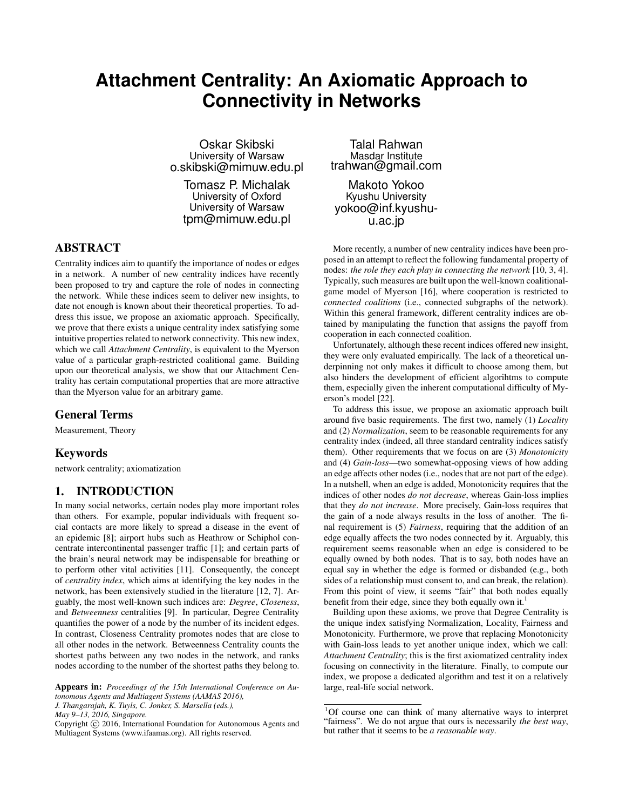# **Attachment Centrality: An Axiomatic Approach to Connectivity in Networks**

Oskar Skibski University of Warsaw o.skibski@mimuw.edu.pl

Tomasz P. Michalak University of Oxford University of Warsaw tpm@mimuw.edu.pl

# ABSTRACT

Centrality indices aim to quantify the importance of nodes or edges in a network. A number of new centrality indices have recently been proposed to try and capture the role of nodes in connecting the network. While these indices seem to deliver new insights, to date not enough is known about their theoretical properties. To address this issue, we propose an axiomatic approach. Specifically, we prove that there exists a unique centrality index satisfying some intuitive properties related to network connectivity. This new index, which we call *Attachment Centrality*, is equivalent to the Myerson value of a particular graph-restricted coalitional game. Building upon our theoretical analysis, we show that our Attachment Centrality has certain computational properties that are more attractive than the Myerson value for an arbitrary game.

#### General Terms

Measurement, Theory

#### Keywords

network centrality; axiomatization

## 1. INTRODUCTION

In many social networks, certain nodes play more important roles than others. For example, popular individuals with frequent social contacts are more likely to spread a disease in the event of an epidemic [8]; airport hubs such as Heathrow or Schiphol concentrate intercontinental passenger traffic [1]; and certain parts of the brain's neural network may be indispensable for breathing or to perform other vital activities [11]. Consequently, the concept of *centrality index*, which aims at identifying the key nodes in the network, has been extensively studied in the literature [12, 7]. Arguably, the most well-known such indices are: *Degree*, *Closeness*, and *Betweenness* centralities [9]. In particular, Degree Centrality quantifies the power of a node by the number of its incident edges. In contrast, Closeness Centrality promotes nodes that are close to all other nodes in the network. Betweenness Centrality counts the shortest paths between any two nodes in the network, and ranks nodes according to the number of the shortest paths they belong to.

*J. Thangarajah, K. Tuyls, C. Jonker, S. Marsella (eds.),*

*May 9–13, 2016, Singapore.*

Talal Rahwan Masdar Institute trahwan@gmail.com

Makoto Yokoo Kyushu University yokoo@inf.kyushuu.ac.jp

More recently, a number of new centrality indices have been proposed in an attempt to reflect the following fundamental property of nodes: *the role they each play in connecting the network* [10, 3, 4]. Typically, such measures are built upon the well-known coalitionalgame model of Myerson [16], where cooperation is restricted to *connected coalitions* (i.e., connected subgraphs of the network). Within this general framework, different centrality indices are obtained by manipulating the function that assigns the payoff from cooperation in each connected coalition.

Unfortunately, although these recent indices offered new insight, they were only evaluated empirically. The lack of a theoretical underpinning not only makes it difficult to choose among them, but also hinders the development of efficient algorihtms to compute them, especially given the inherent computational difficulty of Myerson's model [22].

To address this issue, we propose an axiomatic approach built around five basic requirements. The first two, namely (1) *Locality* and (2) *Normalization*, seem to be reasonable requirements for any centrality index (indeed, all three standard centrality indices satisfy them). Other requirements that we focus on are (3) *Monotonicity* and (4) *Gain-loss*—two somewhat-opposing views of how adding an edge affects other nodes (i.e., nodes that are not part of the edge). In a nutshell, when an edge is added, Monotonicity requires that the indices of other nodes *do not decrease*, whereas Gain-loss implies that they *do not increase*. More precisely, Gain-loss requires that the gain of a node always results in the loss of another. The final requirement is (5) *Fairness*, requiring that the addition of an edge equally affects the two nodes connected by it. Arguably, this requirement seems reasonable when an edge is considered to be equally owned by both nodes. That is to say, both nodes have an equal say in whether the edge is formed or disbanded (e.g., both sides of a relationship must consent to, and can break, the relation). From this point of view, it seems "fair" that both nodes equally benefit from their edge, since they both equally own it.<sup>1</sup>

Building upon these axioms, we prove that Degree Centrality is the unique index satisfying Normalization, Locality, Fairness and Monotonicity. Furthermore, we prove that replacing Monotonicity with Gain-loss leads to yet another unique index, which we call: *Attachment Centrality*; this is the first axiomatized centrality index focusing on connectivity in the literature. Finally, to compute our index, we propose a dedicated algorithm and test it on a relatively large, real-life social network.

Appears in: *Proceedings of the 15th International Conference on Autonomous Agents and Multiagent Systems (AAMAS 2016),*

Copyright (C) 2016, International Foundation for Autonomous Agents and Multiagent Systems (www.ifaamas.org). All rights reserved.

<sup>1</sup>Of course one can think of many alternative ways to interpret "fairness". We do not argue that ours is necessarily *the best way*, but rather that it seems to be *a reasonable way*.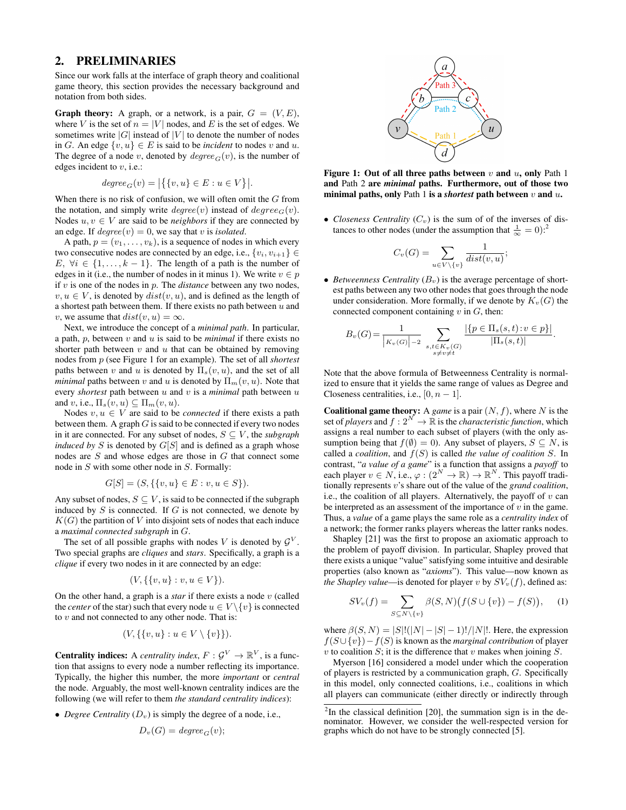#### 2. PRELIMINARIES

Since our work falls at the interface of graph theory and coalitional game theory, this section provides the necessary background and notation from both sides.

**Graph theory:** A graph, or a network, is a pair,  $G = (V, E)$ , where V is the set of  $n = |V|$  nodes, and E is the set of edges. We sometimes write  $|G|$  instead of  $|V|$  to denote the number of nodes in G. An edge  $\{v, u\} \in E$  is said to be *incident* to nodes v and u. The degree of a node v, denoted by  $degree_G(v)$ , is the number of edges incident to  $v$ , i.e.:

$$
degree_G(v) = |\{\{v, u\} \in E : u \in V\}|.
$$

When there is no risk of confusion, we will often omit the  $G$  from the notation, and simply write  $degree(v)$  instead of  $degree(v)$ . Nodes  $u, v \in V$  are said to be *neighbors* if they are connected by an edge. If  $degree(v) = 0$ , we say that v is *isolated*.

A path,  $p = (v_1, \ldots, v_k)$ , is a sequence of nodes in which every two consecutive nodes are connected by an edge, i.e.,  $\{v_i, v_{i+1}\} \in$ E,  $\forall i \in \{1, ..., k-1\}$ . The length of a path is the number of edges in it (i.e., the number of nodes in it minus 1). We write  $v \in p$ if v is one of the nodes in p. The *distance* between any two nodes,  $v, u \in V$ , is denoted by  $dist(v, u)$ , and is defined as the length of a shortest path between them. If there exists no path between  $u$  and v, we assume that  $dist(v, u) = \infty$ .

Next, we introduce the concept of a *minimal path*. In particular, a path, p, between v and u is said to be *minimal* if there exists no shorter path between  $v$  and  $u$  that can be obtained by removing nodes from p (see Figure 1 for an example). The set of all *shortest* paths between v and u is denoted by  $\Pi_s(v, u)$ , and the set of all *minimal* paths between v and u is denoted by  $\Pi_m(v, u)$ . Note that every *shortest* path between  $u$  and  $v$  is a *minimal* path between  $u$ and v, i.e.,  $\Pi_s(v, u) \subseteq \Pi_m(v, u)$ .

Nodes  $v, u \in V$  are said to be *connected* if there exists a path between them. A graph  $G$  is said to be connected if every two nodes in it are connected. For any subset of nodes,  $S \subseteq V$ , the *subgraph induced by*  $S$  is denoted by  $G[S]$  and is defined as a graph whose nodes are S and whose edges are those in G that connect some node in S with some other node in S. Formally:

$$
G[S] = (S, \{\{v, u\} \in E : v, u \in S\}).
$$

Any subset of nodes,  $S \subseteq V$ , is said to be connected if the subgraph induced by  $S$  is connected. If  $G$  is not connected, we denote by  $K(G)$  the partition of V into disjoint sets of nodes that each induce a *maximal connected subgraph* in G.

The set of all possible graphs with nodes V is denoted by  $\mathcal{G}^V$ . Two special graphs are *cliques* and *stars*. Specifically, a graph is a *clique* if every two nodes in it are connected by an edge:

$$
(V, \{\{v, u\} : v, u \in V\}).
$$

On the other hand, a graph is a *star* if there exists a node  $v$  (called the *center* of the star) such that every node  $u \in V \setminus \{v\}$  is connected to  $v$  and not connected to any other node. That is:

$$
(V, \{\{v, u\} : u \in V \setminus \{v\}\}).
$$

**Centrality indices:** A *centrality index*,  $F: \mathcal{G}^V \to \mathbb{R}^V$ , is a function that assigns to every node a number reflecting its importance. Typically, the higher this number, the more *important* or *central* the node. Arguably, the most well-known centrality indices are the following (we will refer to them *the standard centrality indices*):

• *Degree Centrality*  $(D_v)$  is simply the degree of a node, i.e.,

$$
D_v(G) = degree_G(v);
$$



Figure 1: Out of all three paths between  $v$  and  $u$ , only Path 1 and Path 2 are *minimal* paths. Furthermore, out of those two minimal paths, only Path 1 is a *shortest* path between v and u.

• *Closeness Centrality*  $(C_v)$  is the sum of of the inverses of distances to other nodes (under the assumption that  $\frac{1}{\infty} = 0$ ):<sup>2</sup>

$$
C_v(G) = \sum_{u \in V \setminus \{v\}} \frac{1}{dist(v, u)};
$$

• *Betweenness Centrality*  $(B_v)$  is the average percentage of shortest paths between any two other nodes that goes through the node under consideration. More formally, if we denote by  $K_v(G)$  the connected component containing  $v$  in  $G$ , then:

$$
B_{v}(G) = \frac{1}{|K_{v}(G)|-2} \sum_{\substack{s,t \in K_{v}(G) \\ s \neq v \neq t}} \frac{|\{p \in \Pi_{s}(s,t): v \in p\}|}{|\Pi_{s}(s,t)|}.
$$

Note that the above formula of Betweenness Centrality is normalized to ensure that it yields the same range of values as Degree and Closeness centralities, i.e.,  $[0, n-1]$ .

**Coalitional game theory:** A *game* is a pair  $(N, f)$ , where N is the set of *players* and  $f: 2^N \to \mathbb{R}$  is the *characteristic function*, which assigns a real number to each subset of players (with the only assumption being that  $f(\emptyset) = 0$ ). Any subset of players,  $S \subseteq N$ , is called a *coalition*, and  $f(S)$  is called *the value of coalition* S. In contrast, "*a value of a game*" is a function that assigns a *payoff* to each player  $v \in N$ , i.e.,  $\varphi : (2^N \to \mathbb{R}) \to \mathbb{R}^N$ . This payoff traditionally represents v's share out of the value of the *grand coalition*, i.e., the coalition of all players. Alternatively, the payoff of  $v$  can be interpreted as an assessment of the importance of  $v$  in the game. Thus, a *value* of a game plays the same role as a *centrality index* of a network; the former ranks players whereas the latter ranks nodes.

Shapley [21] was the first to propose an axiomatic approach to the problem of payoff division. In particular, Shapley proved that there exists a unique "value" satisfying some intuitive and desirable properties (also known as "*axioms*"). This value—now known as *the Shapley value*—is denoted for player v by  $SV_v(f)$ , defined as:

$$
SV_v(f) = \sum_{S \subseteq N \setminus \{v\}} \beta(S, N) \big( f(S \cup \{v\}) - f(S) \big), \quad (1)
$$

where  $\beta(S, N) = |S|!(|N| - |S| - 1)!/|N|!$ . Here, the expression f(S∪{v})−f(S) is known as the *marginal contribution* of player  $v$  to coalition  $S$ ; it is the difference that  $v$  makes when joining  $S$ .

Myerson [16] considered a model under which the cooperation of players is restricted by a communication graph, G. Specifically in this model, only connected coalitions, i.e., coalitions in which all players can communicate (either directly or indirectly through

 $2$ In the classical definition [20], the summation sign is in the denominator. However, we consider the well-respected version for graphs which do not have to be strongly connected [5].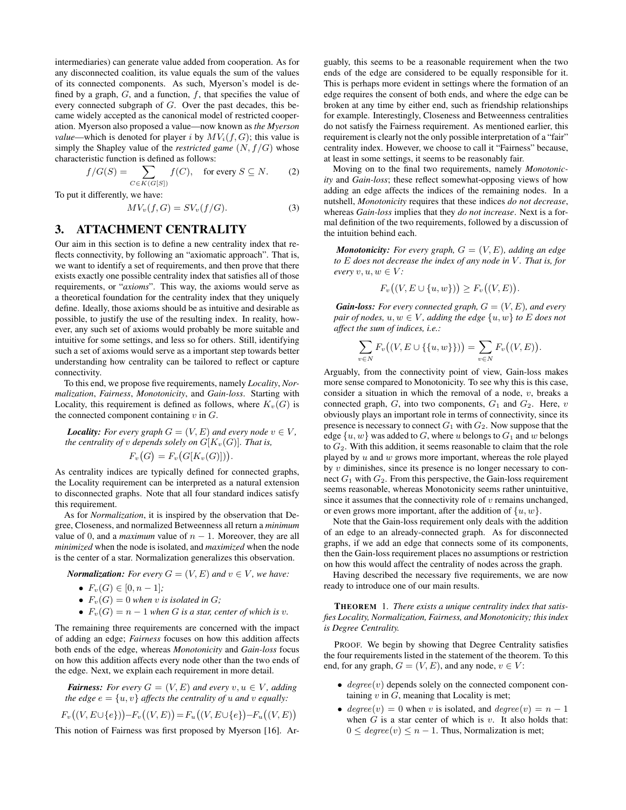intermediaries) can generate value added from cooperation. As for any disconnected coalition, its value equals the sum of the values of its connected components. As such, Myerson's model is defined by a graph,  $G$ , and a function,  $f$ , that specifies the value of every connected subgraph of G. Over the past decades, this became widely accepted as the canonical model of restricted cooperation. Myerson also proposed a value—now known as *the Myerson value*—which is denoted for player i by  $MV_i(f, G)$ ; this value is simply the Shapley value of the *restricted game*  $(N, f/G)$  whose characteristic function is defined as follows:

$$
f/G(S) = \sum_{C \in K(G[S])} f(C), \quad \text{for every } S \subseteq N. \tag{2}
$$

To put it differently, we have:

$$
MV_v(f, G) = SV_v(f/G). \tag{3}
$$

# 3. ATTACHMENT CENTRALITY

Our aim in this section is to define a new centrality index that reflects connectivity, by following an "axiomatic approach". That is, we want to identify a set of requirements, and then prove that there exists exactly one possible centrality index that satisfies all of those requirements, or "*axioms*". This way, the axioms would serve as a theoretical foundation for the centrality index that they uniquely define. Ideally, those axioms should be as intuitive and desirable as possible, to justify the use of the resulting index. In reality, however, any such set of axioms would probably be more suitable and intuitive for some settings, and less so for others. Still, identifying such a set of axioms would serve as a important step towards better understanding how centrality can be tailored to reflect or capture connectivity.

To this end, we propose five requirements, namely *Locality*, *Normalization*, *Fairness*, *Monotonicity*, and *Gain-loss*. Starting with Locality, this requirement is defined as follows, where  $K_v(G)$  is the connected component containing  $v$  in  $G$ .

*Locality: For every graph*  $G = (V, E)$  *and every node*  $v \in V$ *, the centrality of* v *depends solely on*  $G[K_v(G)]$ *. That is,*  $F_v(G) = F_v(G[K_v(G)]).$ 

As centrality indices are typically defined for connected graphs, the Locality requirement can be interpreted as a natural extension to disconnected graphs. Note that all four standard indices satisfy this requirement.

As for *Normalization*, it is inspired by the observation that Degree, Closeness, and normalized Betweenness all return a *minimum* value of 0, and a *maximum* value of  $n - 1$ . Moreover, they are all *minimized* when the node is isolated, and *maximized* when the node is the center of a star. Normalization generalizes this observation.

*Normalization: For every*  $G = (V, E)$  *and*  $v \in V$ *, we have:* 

•  $F_v(G) \in [0, n-1]$ ;

- $F_v(G) = 0$  *when v is isolated in G*;
- $F_v(G) = n 1$  *when* G *is a star, center of which is v.*

The remaining three requirements are concerned with the impact of adding an edge; *Fairness* focuses on how this addition affects both ends of the edge, whereas *Monotonicity* and *Gain-loss* focus on how this addition affects every node other than the two ends of the edge. Next, we explain each requirement in more detail.

*Fairness: For every*  $G = (V, E)$  *and every*  $v, u \in V$ *, adding the edge*  $e = \{u, v\}$  *affects the centrality of* u *and* v *equally:* 

$$
F_v((V, E \cup \{e\})) - F_v((V, E)) = F_u((V, E \cup \{e\}) - F_u((V, E))
$$

This notion of Fairness was first proposed by Myerson [16]. Ar-

guably, this seems to be a reasonable requirement when the two ends of the edge are considered to be equally responsible for it. This is perhaps more evident in settings where the formation of an edge requires the consent of both ends, and where the edge can be broken at any time by either end, such as friendship relationships for example. Interestingly, Closeness and Betweenness centralities do not satisfy the Fairness requirement. As mentioned earlier, this requirement is clearly not the only possible interpretation of a "fair" centrality index. However, we choose to call it "Fairness" because, at least in some settings, it seems to be reasonably fair.

Moving on to the final two requirements, namely *Monotonicity* and *Gain-loss*; these reflect somewhat-opposing views of how adding an edge affects the indices of the remaining nodes. In a nutshell, *Monotonicity* requires that these indices *do not decrease*, whereas *Gain-loss* implies that they *do not increase*. Next is a formal definition of the two requirements, followed by a discussion of the intuition behind each.

*Monotonicity: For every graph,*  $G = (V, E)$ *, adding an edge to* E *does not decrease the index of any node in* V *. That is, for every*  $v, u, w \in V$ *:* 

$$
F_v((V, E \cup \{u, w\})) \ge F_v((V, E)).
$$

*Gain-loss: For every connected graph,*  $G = (V, E)$ *, and every pair of nodes,*  $u, w \in V$ *, adding the edge*  $\{u, w\}$  *to*  $E$  *does not affect the sum of indices, i.e.:*

$$
\sum_{v \in N} F_v((V, E \cup \{\{u, w\}\})) = \sum_{v \in N} F_v((V, E)).
$$

Arguably, from the connectivity point of view, Gain-loss makes more sense compared to Monotonicity. To see why this is this case, consider a situation in which the removal of a node,  $v$ , breaks a connected graph,  $G$ , into two components,  $G_1$  and  $G_2$ . Here,  $v$ obviously plays an important role in terms of connectivity, since its presence is necessary to connect  $G_1$  with  $G_2$ . Now suppose that the edge  $\{u,w\}$  was added to  $G,$  where  $u$  belongs to  $G_1$  and  $w$  belongs to  $G_2$ . With this addition, it seems reasonable to claim that the role played by  $u$  and  $w$  grows more important, whereas the role played by  $v$  diminishes, since its presence is no longer necessary to connect  $G_1$  with  $G_2$ . From this perspective, the Gain-loss requirement seems reasonable, whereas Monotonicity seems rather unintuitive, since it assumes that the connectivity role of  $v$  remains unchanged, or even grows more important, after the addition of  $\{u, w\}$ .

Note that the Gain-loss requirement only deals with the addition of an edge to an already-connected graph. As for disconnected graphs, if we add an edge that connects some of its components, then the Gain-loss requirement places no assumptions or restriction on how this would affect the centrality of nodes across the graph.

Having described the necessary five requirements, we are now ready to introduce one of our main results.

THEOREM 1. *There exists a unique centrality index that satisfies Locality, Normalization, Fairness, and Monotonicity; this index is Degree Centrality.*

PROOF. We begin by showing that Degree Centrality satisfies the four requirements listed in the statement of the theorem. To this end, for any graph,  $G = (V, E)$ , and any node,  $v \in V$ :

- $degree(v)$  depends solely on the connected component containing  $v$  in  $G$ , meaning that Locality is met;
- degree(v) = 0 when v is isolated, and degree(v) =  $n 1$ when  $G$  is a star center of which is  $v$ . It also holds that:  $0 \leq \text{degree}(v) \leq n - 1$ . Thus, Normalization is met;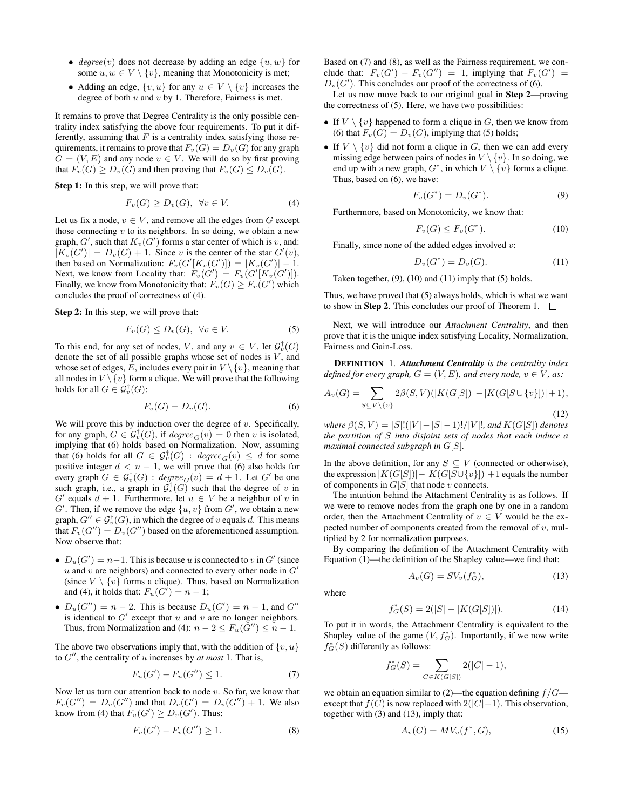- degree(v) does not decrease by adding an edge  $\{u, w\}$  for some  $u, w \in V \setminus \{v\}$ , meaning that Monotonicity is met;
- Adding an edge,  $\{v, u\}$  for any  $u \in V \setminus \{v\}$  increases the degree of both  $u$  and  $v$  by 1. Therefore, Fairness is met.

It remains to prove that Degree Centrality is the only possible centrality index satisfying the above four requirements. To put it differently, assuming that  $F$  is a centrality index satisfying those requirements, it remains to prove that  $F_v(G) = D_v(G)$  for any graph  $G = (V, E)$  and any node  $v \in V$ . We will do so by first proving that  $F_v(G) \ge D_v(G)$  and then proving that  $F_v(G) \le D_v(G)$ .

Step 1: In this step, we will prove that:

$$
F_v(G) \ge D_v(G), \ \forall v \in V. \tag{4}
$$

Let us fix a node,  $v \in V$ , and remove all the edges from G except those connecting  $v$  to its neighbors. In so doing, we obtain a new graph,  $G'$ , such that  $K_v(G')$  forms a star center of which is v, and:  $|K_v(G')| = D_v(G) + 1$ . Since v is the center of the star  $G'(v)$ , then based on Normalization:  $F_v(G'[K_v(G')]) = |K_v(G')| - 1$ . Next, we know from Locality that:  $F_v(G') = F_v(G'[K_v(G')])$ . Finally, we know from Monotonicity that:  $F_v(G) \geq F_v(G')$  which concludes the proof of correctness of (4).

Step 2: In this step, we will prove that:

$$
F_v(G) \le D_v(G), \ \forall v \in V. \tag{5}
$$

To this end, for any set of nodes, V, and any  $v \in V$ , let  $\mathcal{G}_v^{\dagger}(G)$ denote the set of all possible graphs whose set of nodes is  $V$ , and whose set of edges, E, includes every pair in  $V \setminus \{v\}$ , meaning that all nodes in  $V \setminus \{v\}$  form a clique. We will prove that the following holds for all  $G \in \mathcal{G}_v^{\dagger}(G)$ :

$$
F_v(G) = D_v(G). \tag{6}
$$

We will prove this by induction over the degree of  $v$ . Specifically, for any graph,  $G \in \mathcal{G}_{v}^{\dagger}(G)$ , if  $degree_G(v) = 0$  then v is isolated, implying that (6) holds based on Normalization. Now, assuming that (6) holds for all  $G \in \mathcal{G}_{v}^{\dagger}(G)$  :  $degree_{G}(v) \leq d$  for some positive integer  $d < n - 1$ , we will prove that (6) also holds for every graph  $G \in \mathcal{G}_{v}^{\dagger}(G)$  :  $degree_{G}(v) = d + 1$ . Let  $G'$  be one such graph, i.e., a graph in  $\mathcal{G}_v^{\dagger}(G)$  such that the degree of v in  $G'$  equals  $d + 1$ . Furthermore, let  $u \in V$  be a neighbor of v in  $G'$ . Then, if we remove the edge  $\{u, v\}$  from  $G'$ , we obtain a new graph,  $G'' \in \mathcal{G}_v^{\dagger}(G)$ , in which the degree of v equals d. This means that  $F_v(G'') = D_v(G'')$  based on the aforementioned assumption. Now observe that:

- $D_u(G') = n-1$ . This is because u is connected to v in G' (since  $u$  and  $v$  are neighbors) and connected to every other node in  $G'$ (since  $V \setminus \{v\}$  forms a clique). Thus, based on Normalization and (4), it holds that:  $F_u(G^{\tilde{I}})=n-1$ ;
- $D_u(G'') = n-2$ . This is because  $D_u(G') = n-1$ , and  $G''$ is identical to  $G'$  except that  $u$  and  $v$  are no longer neighbors. Thus, from Normalization and (4):  $n - 2 \leq F_u(G'') \leq n - 1$ .

The above two observations imply that, with the addition of  $\{v, u\}$ to  $G''$ , the centrality of u increases by  $at most$  1. That is,

$$
F_u(G') - F_u(G'') \le 1.
$$
\n(7)

Now let us turn our attention back to node  $v$ . So far, we know that  $F_v(G'') = D_v(G'')$  and that  $D_v(G') = D_v(G'') + 1$ . We also know from (4) that  $F_v(G') \ge D_v(G')$ . Thus:

$$
F_v(G') - F_v(G'') \ge 1.
$$
 (8)

Based on (7) and (8), as well as the Fairness requirement, we conclude that:  $F_v(G') - F_v(G'') = 1$ , implying that  $F_v(G') = 1$  $D_v(G')$ . This concludes our proof of the correctness of (6).

Let us now move back to our original goal in Step 2—proving the correctness of (5). Here, we have two possibilities:

- If  $V \setminus \{v\}$  happened to form a clique in G, then we know from (6) that  $F_v(G) = D_v(G)$ , implying that (5) holds;
- If  $V \setminus \{v\}$  did not form a clique in G, then we can add every missing edge between pairs of nodes in  $V \setminus \{v\}$ . In so doing, we end up with a new graph,  $G^*$ , in which  $V \setminus \{v\}$  forms a clique. Thus, based on (6), we have:

$$
F_v(G^*) = D_v(G^*).
$$
 (9)

Furthermore, based on Monotonicity, we know that:

$$
F_v(G) \le F_v(G^*). \tag{10}
$$

Finally, since none of the added edges involved  $v$ :

$$
D_v(G^*) = D_v(G). \tag{11}
$$

Taken together,  $(9)$ ,  $(10)$  and  $(11)$  imply that  $(5)$  holds.

Thus, we have proved that (5) always holds, which is what we want to show in **Step 2**. This concludes our proof of Theorem 1.  $\Box$ 

Next, we will introduce our *Attachment Centrality*, and then prove that it is the unique index satisfying Locality, Normalization, Fairness and Gain-Loss.

DEFINITION 1. *Attachment Centrality is the centrality index defined for every graph,*  $G = (V, E)$ *, and every node,*  $v \in V$ *, as:* 

$$
A_v(G) = \sum_{S \subseteq V \setminus \{v\}} 2\beta(S, V)(|K(G[S])| - |K(G[S \cup \{v\})| + 1),
$$
\n(12)

*where*  $\beta(S, V) = |S|!(|V| - |S| - 1)!/|V|!$ *, and*  $K(G[S])$  *denotes the partition of* S *into disjoint sets of nodes that each induce a maximal connected subgraph in* G[S]*.*

In the above definition, for any  $S \subseteq V$  (connected or otherwise), the expression  $|K(G[S])| - |K(G[S \cup \{v\})| + 1$  equals the number of components in  $G[S]$  that node v connects.

The intuition behind the Attachment Centrality is as follows. If we were to remove nodes from the graph one by one in a random order, then the Attachment Centrality of  $v \in V$  would be the expected number of components created from the removal of  $v$ , multiplied by 2 for normalization purposes.

By comparing the definition of the Attachment Centrality with Equation (1)—the definition of the Shapley value—we find that:

$$
A_v(G) = SV_v(f_G^*),\tag{13}
$$

where

$$
f_G^*(S) = 2(|S| - |K(G[S])|). \tag{14}
$$

To put it in words, the Attachment Centrality is equivalent to the Shapley value of the game  $(V, f_G^*)$ . Importantly, if we now write  $f_G^*(S)$  differently as follows:

$$
f_G^*(S) = \sum_{C \in K(G[S])} 2(|C| - 1),
$$

we obtain an equation similar to  $(2)$ —the equation defining  $f/G$  except that  $f(C)$  is now replaced with  $2(|C|-1)$ . This observation, together with (3) and (13), imply that:

$$
A_v(G) = MV_v(f^*,G),\tag{15}
$$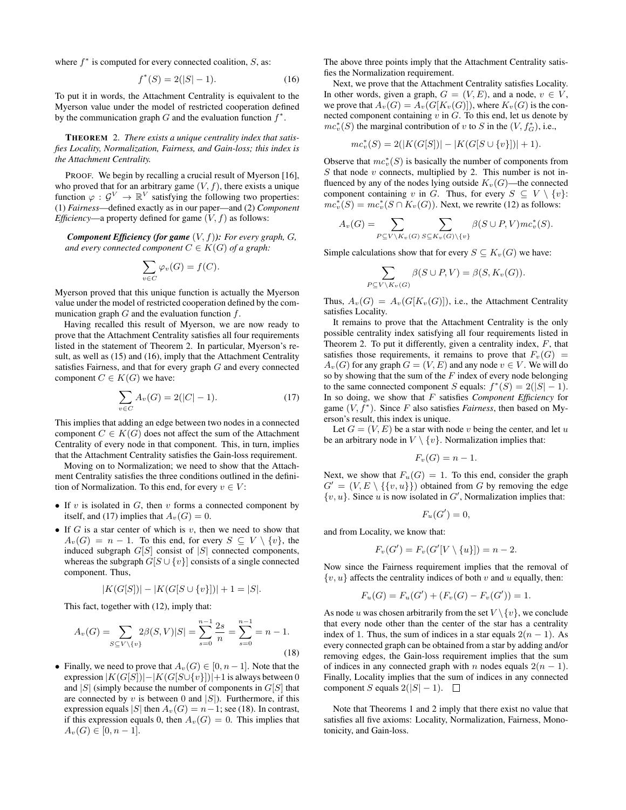where  $f^*$  is computed for every connected coalition,  $S$ , as:

$$
f^*(S) = 2(|S| - 1). \tag{16}
$$

To put it in words, the Attachment Centrality is equivalent to the Myerson value under the model of restricted cooperation defined by the communication graph  $G$  and the evaluation function  $f^*$ .

THEOREM 2. *There exists a unique centrality index that satisfies Locality, Normalization, Fairness, and Gain-loss; this index is the Attachment Centrality.*

PROOF. We begin by recalling a crucial result of Myerson [16], who proved that for an arbitrary game  $(V, f)$ , there exists a unique function  $\varphi : \mathcal{G}^V \to \mathbb{R}^V$  satisfying the following two properties: (1) *Fairness*—defined exactly as in our paper—and (2) *Component Efficiency*—a property defined for game  $(V, f)$  as follows:

*Component Efficiency (for game*  $(V, f)$ *): For every graph, G, and every connected component*  $C \in K(G)$  *of a graph:* 

$$
\sum_{v \in C} \varphi_v(G) = f(C).
$$

Myerson proved that this unique function is actually the Myerson value under the model of restricted cooperation defined by the communication graph  $G$  and the evaluation function  $f$ .

Having recalled this result of Myerson, we are now ready to prove that the Attachment Centrality satisfies all four requirements listed in the statement of Theorem 2. In particular, Myerson's result, as well as (15) and (16), imply that the Attachment Centrality satisfies Fairness, and that for every graph G and every connected component  $C \in K(G)$  we have:

$$
\sum_{v \in C} A_v(G) = 2(|C| - 1). \tag{17}
$$

This implies that adding an edge between two nodes in a connected component  $C \in K(G)$  does not affect the sum of the Attachment Centrality of every node in that component. This, in turn, implies that the Attachment Centrality satisfies the Gain-loss requirement.

Moving on to Normalization; we need to show that the Attachment Centrality satisfies the three conditions outlined in the definition of Normalization. To this end, for every  $v \in V$ :

- If  $v$  is isolated in  $G$ , then  $v$  forms a connected component by itself, and (17) implies that  $A_v(G) = 0$ .
- If G is a star center of which is  $v$ , then we need to show that  $A_v(G) = n - 1$ . To this end, for every  $S \subseteq V \setminus \{v\}$ , the induced subgraph  $G[S]$  consist of  $|S|$  connected components, whereas the subgraph  $G[S \cup \{v\}]$  consists of a single connected component. Thus,

$$
|K(G[S])| - |K(G[S \cup \{v\}])| + 1 = |S|.
$$

This fact, together with (12), imply that:

$$
A_v(G) = \sum_{S \subseteq V \setminus \{v\}} 2\beta(S, V)|S| = \sum_{s=0}^{n-1} \frac{2s}{n} = \sum_{s=0}^{n-1} = n-1.
$$
\n(18)

• Finally, we need to prove that  $A_v(G) \in [0, n-1]$ . Note that the expression  $|K(G[S])| - |K(G[S \cup \{v\})| + 1$  is always between 0 and  $|S|$  (simply because the number of components in  $G[S]$  that are connected by v is between 0 and  $|S|$ ). Furthermore, if this expression equals |S| then  $A_v(G) = n-1$ ; see (18). In contrast, if this expression equals 0, then  $A_v(G) = 0$ . This implies that  $A_v(G) \in [0, n-1].$ 

The above three points imply that the Attachment Centrality satisfies the Normalization requirement.

Next, we prove that the Attachment Centrality satisfies Locality. In other words, given a graph,  $G = (V, E)$ , and a node,  $v \in V$ , we prove that  $A_v(G) = A_v(G[K_v(G)])$ , where  $K_v(G)$  is the connected component containing  $v$  in  $G$ . To this end, let us denote by  $mc_v^*(S)$  the marginal contribution of v to S in the  $(V, f^*_G)$ , i.e.,

$$
mc_v^*(S) = 2(|K(G[S])| - |K(G[S \cup \{v\}])| + 1).
$$

Observe that  $mc_v^*(S)$  is basically the number of components from  $S$  that node  $v$  connects, multiplied by 2. This number is not influenced by any of the nodes lying outside  $K_v(G)$ —the connected component containing v in G. Thus, for every  $S \subseteq V \setminus \{v\}$ :  $mc_v^*(S) = mc_v^*(S \cap K_v(G))$ . Next, we rewrite (12) as follows:

$$
A_v(G) = \sum_{P \subseteq V \backslash K_v(G)} \sum_{S \subseteq K_v(G) \backslash \{v\}} \beta(S \cup P, V) m c_v^*(S).
$$

Simple calculations show that for every  $S \subseteq K_v(G)$  we have:

$$
\sum_{P \subseteq V \backslash K_v(G)} \beta(S \cup P, V) = \beta(S, K_v(G)).
$$

Thus,  $A_v(G) = A_v(G[K_v(G)])$ , i.e., the Attachment Centrality satisfies Locality.

It remains to prove that the Attachment Centrality is the only possible centrality index satisfying all four requirements listed in Theorem 2. To put it differently, given a centrality index,  $F$ , that satisfies those requirements, it remains to prove that  $F_v(G)$  =  $A_v(G)$  for any graph  $G = (V, E)$  and any node  $v \in V$ . We will do so by showing that the sum of the  $F$  index of every node belonging to the same connected component S equals:  $f^*(S) = 2(|S| - 1)$ . In so doing, we show that F satisfies *Component Efficiency* for game  $(V, f^*)$ . Since F also satisfies *Fairness*, then based on Myerson's result, this index is unique.

Let  $G = (V, E)$  be a star with node v being the center, and let u be an arbitrary node in  $V \setminus \{v\}$ . Normalization implies that:

$$
F_v(G) = n - 1.
$$

Next, we show that  $F_u(G) = 1$ . To this end, consider the graph  $G' = (V, E \setminus \{\{v, u\}\})$  obtained from G by removing the edge  $\{v, u\}$ . Since u is now isolated in  $G'$ , Normalization implies that:

$$
F_u(G')=0,
$$

and from Locality, we know that:

$$
F_v(G') = F_v(G'[V \setminus \{u\}]) = n-2.
$$

Now since the Fairness requirement implies that the removal of  $\{v, u\}$  affects the centrality indices of both v and u equally, then:

$$
F_u(G) = F_u(G') + (F_v(G) - F_v(G')) = 1.
$$

As node u was chosen arbitrarily from the set  $V \setminus \{v\}$ , we conclude that every node other than the center of the star has a centrality index of 1. Thus, the sum of indices in a star equals  $2(n - 1)$ . As every connected graph can be obtained from a star by adding and/or removing edges, the Gain-loss requirement implies that the sum of indices in any connected graph with n nodes equals  $2(n - 1)$ . Finally, Locality implies that the sum of indices in any connected component S equals  $2(|S| - 1)$ .  $\Box$ 

Note that Theorems 1 and 2 imply that there exist no value that satisfies all five axioms: Locality, Normalization, Fairness, Monotonicity, and Gain-loss.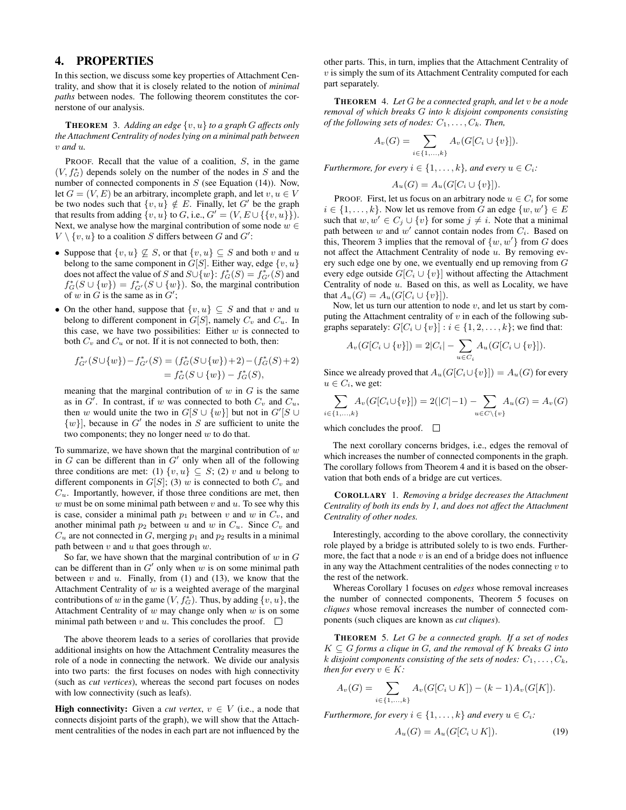## 4. PROPERTIES

In this section, we discuss some key properties of Attachment Centrality, and show that it is closely related to the notion of *minimal paths* between nodes. The following theorem constitutes the cornerstone of our analysis.

THEOREM 3. *Adding an edge* {v, u} *to a graph* G *affects only the Attachment Centrality of nodes lying on a minimal path between* v *and* u*.*

PROOF. Recall that the value of a coalition, S, in the game  $(V, f_G^*)$  depends solely on the number of the nodes in S and the number of connected components in  $S$  (see Equation (14)). Now, let  $G = (V, E)$  be an arbitrary, incomplete graph, and let  $v, u \in V$ be two nodes such that  $\{v, u\} \notin E$ . Finally, let G' be the graph that results from adding  $\{v, u\}$  to G, i.e.,  $G' = (V, E \cup \{\{v, u\}\})$ . Next, we analyse how the marginal contribution of some node  $w \in$  $V \setminus \{v, u\}$  to a coalition S differs between G and  $G'$ :

- Suppose that  $\{v, u\} \nsubseteq S$ , or that  $\{v, u\} \subseteq S$  and both v and u belong to the same component in  $G[S]$ . Either way, edge  $\{v, u\}$ does not affect the value of S and  $S \cup \{w\}$ :  $f_G^*(S) = f_{G'}^*(S)$  and  $f_G^*(S \cup \{w\}) = f_{G'}^*(S \cup \{w\})$ . So, the marginal contribution of w in  $G$  is the same as in  $G'$ ;
- On the other hand, suppose that  $\{v, u\} \subseteq S$  and that v and u belong to different component in  $G[S]$ , namely  $C_v$  and  $C_u$ . In this case, we have two possibilities: Either  $w$  is connected to both  $C_v$  and  $C_u$  or not. If it is not connected to both, then:

$$
f_{G'}^*(S \cup \{w\}) - f_{G'}^*(S) = (f_G^*(S \cup \{w\}) + 2) - (f_G^*(S) + 2)
$$
  
= 
$$
f_G^*(S \cup \{w\}) - f_G^*(S),
$$

meaning that the marginal contribution of  $w$  in  $G$  is the same as in  $G'$ . In contrast, if w was connected to both  $C_v$  and  $C_u$ , then w would unite the two in  $G[S \cup \{w\}]$  but not in  $G'[S \cup$  $\{w\}$ , because in G' the nodes in S are sufficient to unite the two components; they no longer need  $w$  to do that.

To summarize, we have shown that the marginal contribution of  $w$ in  $G$  can be different than in  $G'$  only when all of the following three conditions are met: (1)  $\{v, u\} \subseteq S$ ; (2) v and u belong to different components in  $G[S]$ ; (3) w is connected to both  $C_v$  and  $C_u$ . Importantly, however, if those three conditions are met, then  $w$  must be on some minimal path between  $v$  and  $u$ . To see why this is case, consider a minimal path  $p_1$  between v and w in  $C_v$ , and another minimal path  $p_2$  between u and w in  $C_u$ . Since  $C_v$  and  $C_u$  are not connected in G, merging  $p_1$  and  $p_2$  results in a minimal path between  $v$  and  $u$  that goes through  $w$ .

So far, we have shown that the marginal contribution of  $w$  in  $G$ can be different than in  $G'$  only when w is on some minimal path between  $v$  and  $u$ . Finally, from (1) and (13), we know that the Attachment Centrality of  $w$  is a weighted average of the marginal contributions of w in the game  $(V, f_G^*)$ . Thus, by adding  $\{v, u\}$ , the Attachment Centrality of  $w$  may change only when  $w$  is on some minimal path between v and u. This concludes the proof.  $\Box$ 

The above theorem leads to a series of corollaries that provide additional insights on how the Attachment Centrality measures the role of a node in connecting the network. We divide our analysis into two parts: the first focuses on nodes with high connectivity (such as *cut vertices*), whereas the second part focuses on nodes with low connectivity (such as leafs).

**High connectivity:** Given a *cut vertex*,  $v \in V$  (i.e., a node that connects disjoint parts of the graph), we will show that the Attachment centralities of the nodes in each part are not influenced by the

other parts. This, in turn, implies that the Attachment Centrality of  $v$  is simply the sum of its Attachment Centrality computed for each part separately.

THEOREM 4. *Let* G *be a connected graph, and let* v *be a node removal of which breaks* G *into* k *disjoint components consisting of the following sets of nodes:*  $C_1, \ldots, C_k$ *. Then,* 

$$
A_v(G) = \sum_{i \in \{1, ..., k\}} A_v(G[C_i \cup \{v\}]).
$$

*Furthermore, for every*  $i \in \{1, \ldots, k\}$ *, and every*  $u \in C_i$ *:* 

$$
A_u(G) = A_u(G[C_i \cup \{v\}]).
$$

PROOF. First, let us focus on an arbitrary node  $u \in C_i$  for some  $i \in \{1, \ldots, k\}$ . Now let us remove from G an edge  $\{w, w'\} \in E$ such that  $w, w' \in C_j \cup \{v\}$  for some  $j \neq i$ . Note that a minimal path between  $w$  and  $w'$  cannot contain nodes from  $C_i$ . Based on this, Theorem 3 implies that the removal of  $\{w, w'\}$  from G does not affect the Attachment Centrality of node  $u$ . By removing every such edge one by one, we eventually end up removing from G every edge outside  $G[C_i \cup \{v\}]$  without affecting the Attachment Centrality of node  $u$ . Based on this, as well as Locality, we have that  $A_u(G) = A_u(G[C_i \cup \{v\}]).$ 

Now, let us turn our attention to node  $v$ , and let us start by computing the Attachment centrality of  $v$  in each of the following subgraphs separately:  $G[C_i \cup \{v\}] : i \in \{1, 2, ..., k\}$ ; we find that:

$$
A_v(G[C_i \cup \{v\}]) = 2|C_i| - \sum_{u \in C_i} A_u(G[C_i \cup \{v\}]).
$$

Since we already proved that  $A_u(G[C_i\cup\{v\}]) = A_u(G)$  for every  $u \in C_i$ , we get:

$$
\sum_{i \in \{1, ..., k\}} A_v(G[C_i \cup \{v\}]) = 2(|C| - 1) - \sum_{u \in C \setminus \{v\}} A_u(G) = A_v(G)
$$

which concludes the proof.  $\Box$ 

The next corollary concerns bridges, i.e., edges the removal of which increases the number of connected components in the graph. The corollary follows from Theorem 4 and it is based on the observation that both ends of a bridge are cut vertices.

COROLLARY 1. *Removing a bridge decreases the Attachment Centrality of both its ends by 1, and does not affect the Attachment Centrality of other nodes.*

Interestingly, according to the above corollary, the connectivity role played by a bridge is attributed solely to is two ends. Furthermore, the fact that a node  $v$  is an end of a bridge does not influence in any way the Attachment centralities of the nodes connecting  $v$  to the rest of the network.

Whereas Corollary 1 focuses on *edges* whose removal increases the number of connected components, Theorem 5 focuses on *cliques* whose removal increases the number of connected components (such cliques are known as *cut cliques*).

THEOREM 5. *Let* G *be a connected graph. If a set of nodes*  $K \subseteq G$  forms a clique in  $G$ , and the removal of  $K$  breaks  $G$  into k disjoint components consisting of the sets of nodes:  $C_1, \ldots, C_k$ , *then for every*  $v \in K$ *:* 

$$
A_v(G) = \sum_{i \in \{1, ..., k\}} A_v(G[C_i \cup K]) - (k-1)A_v(G[K]).
$$

*Furthermore, for every*  $i \in \{1, \ldots, k\}$  *and every*  $u \in C_i$ *:* 

$$
A_u(G) = A_u(G[C_i \cup K]). \tag{19}
$$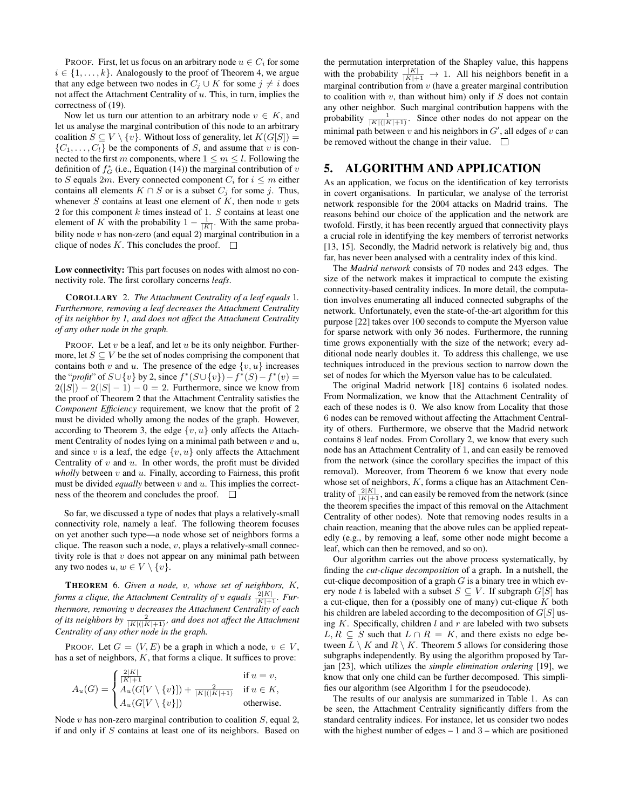PROOF. First, let us focus on an arbitrary node  $u \in C_i$  for some  $i \in \{1, \ldots, k\}$ . Analogously to the proof of Theorem 4, we argue that any edge between two nodes in  $C_j \cup K$  for some  $j \neq i$  does not affect the Attachment Centrality of  $u$ . This, in turn, implies the correctness of (19).

Now let us turn our attention to an arbitrary node  $v \in K$ , and let us analyse the marginal contribution of this node to an arbitrary coalition  $S \subseteq V \setminus \{v\}$ . Without loss of generality, let  $K(G[S]) =$  $\{C_1, \ldots, C_l\}$  be the components of S, and assume that v is connected to the first m components, where  $1 \leq m \leq l$ . Following the definition of  $f_G^*$  (i.e., Equation (14)) the marginal contribution of v to S equals 2m. Every connected component  $C_i$  for  $i \leq m$  either contains all elements  $K \cap S$  or is a subset  $C_j$  for some j. Thus, whenever  $S$  contains at least one element of  $K$ , then node  $v$  gets 2 for this component  $k$  times instead of 1.  $S$  contains at least one element of K with the probability  $1 - \frac{1}{|K|}$ . With the same probability node  $v$  has non-zero (and equal 2) marginal contribution in a clique of nodes K. This concludes the proof.  $\square$ 

#### Low connectivity: This part focuses on nodes with almost no connectivity role. The first corollary concerns *leafs*.

COROLLARY 2. *The Attachment Centrality of a leaf equals* 1*. Furthermore, removing a leaf decreases the Attachment Centrality of its neighbor by 1, and does not affect the Attachment Centrality of any other node in the graph.*

PROOF. Let  $v$  be a leaf, and let  $u$  be its only neighbor. Furthermore, let  $S \subseteq V$  be the set of nodes comprising the component that contains both v and u. The presence of the edge  $\{v, u\}$  increases the "*profit*" of  $S \cup \{v\}$  by 2, since  $f^*(S \cup \{v\}) - f^*(S) - f^*(v) =$  $2(|S|) - 2(|S| - 1) - 0 = 2$ . Furthermore, since we know from the proof of Theorem 2 that the Attachment Centrality satisfies the *Component Efficiency* requirement, we know that the profit of 2 must be divided wholly among the nodes of the graph. However, according to Theorem 3, the edge  $\{v, u\}$  only affects the Attachment Centrality of nodes lying on a minimal path between  $v$  and  $u$ , and since  $v$  is a leaf, the edge  $\{v, u\}$  only affects the Attachment Centrality of  $v$  and  $u$ . In other words, the profit must be divided *wholly* between  $v$  and  $u$ . Finally, according to Fairness, this profit must be divided *equally* between  $v$  and  $u$ . This implies the correctness of the theorem and concludes the proof.  $\square$ 

So far, we discussed a type of nodes that plays a relatively-small connectivity role, namely a leaf. The following theorem focuses on yet another such type—a node whose set of neighbors forms a clique. The reason such a node,  $v$ , plays a relatively-small connectivity role is that  $v$  does not appear on any minimal path between any two nodes  $u, w \in V \setminus \{v\}.$ 

THEOREM 6. *Given a node,* v*, whose set of neighbors,* K*, forms a clique, the Attachment Centrality of v equals*  $\frac{2|K|}{|K|+1}$ *. Furthermore, removing* v *decreases the Attachment Centrality of each of its neighbors by*  $\frac{2}{|K|(|K|+1)}$ *, and does not affect the Attachment Centrality of any other node in the graph.*

PROOF. Let  $G = (V, E)$  be a graph in which a node,  $v \in V$ , has a set of neighbors,  $K$ , that forms a clique. It suffices to prove:

$$
A_u(G) = \begin{cases} \frac{2|K|}{|K|+1} & \text{if } u = v, \\ A_u(G[V \setminus \{v\}]) + \frac{2}{|K|(|K|+1)} & \text{if } u \in K, \\ A_u(G[V \setminus \{v\}]) & \text{otherwise.} \end{cases}
$$

Node  $v$  has non-zero marginal contribution to coalition  $S$ , equal 2, if and only if S contains at least one of its neighbors. Based on

the permutation interpretation of the Shapley value, this happens with the probability  $\frac{|K|}{|K|+1} \to 1$ . All his neighbors benefit in a marginal contribution from  $v$  (have a greater marginal contribution to coalition with  $v$ , than without him) only if  $S$  does not contain any other neighbor. Such marginal contribution happens with the probability  $\frac{1}{|K|(|K|+1)}$ . Since other nodes do not appear on the minimal path between  $v$  and his neighbors in  $G'$ , all edges of  $v$  can be removed without the change in their value.  $\square$ 

## 5. ALGORITHM AND APPLICATION

As an application, we focus on the identification of key terrorists in covert organisations. In particular, we analyse of the terrorist network responsible for the 2004 attacks on Madrid trains. The reasons behind our choice of the application and the network are twofold. Firstly, it has been recently argued that connectivity plays a crucial role in identifying the key members of terrorist networks [13, 15]. Secondly, the Madrid network is relatively big and, thus far, has never been analysed with a centrality index of this kind.

The *Madrid network* consists of 70 nodes and 243 edges. The size of the network makes it impractical to compute the existing connectivity-based centrality indices. In more detail, the computation involves enumerating all induced connected subgraphs of the network. Unfortunately, even the state-of-the-art algorithm for this purpose [22] takes over 100 seconds to compute the Myerson value for sparse network with only 36 nodes. Furthermore, the running time grows exponentially with the size of the network; every additional node nearly doubles it. To address this challenge, we use techniques introduced in the previous section to narrow down the set of nodes for which the Myerson value has to be calculated.

The original Madrid network [18] contains 6 isolated nodes. From Normalization, we know that the Attachment Centrality of each of these nodes is 0. We also know from Locality that those 6 nodes can be removed without affecting the Attachment Centrality of others. Furthermore, we observe that the Madrid network contains 8 leaf nodes. From Corollary 2, we know that every such node has an Attachment Centrality of 1, and can easily be removed from the network (since the corollary specifies the impact of this removal). Moreover, from Theorem 6 we know that every node whose set of neighbors,  $K$ , forms a clique has an Attachment Centrality of  $\frac{2|K|}{|K|+1}$ , and can easily be removed from the network (since the theorem specifies the impact of this removal on the Attachment Centrality of other nodes). Note that removing nodes results in a chain reaction, meaning that the above rules can be applied repeatedly (e.g., by removing a leaf, some other node might become a leaf, which can then be removed, and so on).

Our algorithm carries out the above process systematically, by finding the *cut-clique decomposition* of a graph. In a nutshell, the cut-clique decomposition of a graph  $G$  is a binary tree in which every node t is labeled with a subset  $S \subseteq V$ . If subgraph  $G[S]$  has a cut-clique, then for a (possibly one of many) cut-clique  $K$  both his children are labeled according to the decomposition of  $G[S]$  using  $K$ . Specifically, children  $l$  and  $r$  are labeled with two subsets  $L, R \subseteq S$  such that  $L \cap R = K$ , and there exists no edge between  $L \setminus K$  and  $R \setminus K$ . Theorem 5 allows for considering those subgraphs independently. By using the algorithm proposed by Tarjan [23], which utilizes the *simple elimination ordering* [19], we know that only one child can be further decomposed. This simplifies our algorithm (see Algorithm 1 for the pseudocode).

The results of our analysis are summarized in Table 1. As can be seen, the Attachment Centrality significantly differs from the standard centrality indices. For instance, let us consider two nodes with the highest number of edges  $-1$  and  $3$  – which are positioned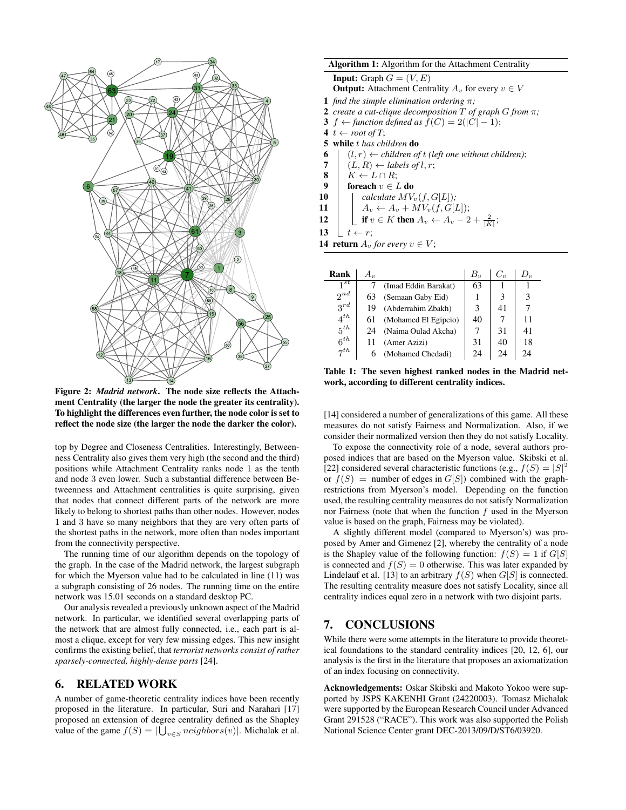

Figure 2: *Madrid network*. The node size reflects the Attachment Centrality (the larger the node the greater its centrality). To highlight the differences even further, the node color is set to reflect the node size (the larger the node the darker the color).

top by Degree and Closeness Centralities. Interestingly, Betweenness Centrality also gives them very high (the second and the third) positions while Attachment Centrality ranks node 1 as the tenth and node 3 even lower. Such a substantial difference between Betweenness and Attachment centralities is quite surprising, given that nodes that connect different parts of the network are more likely to belong to shortest paths than other nodes. However, nodes 1 and 3 have so many neighbors that they are very often parts of the shortest paths in the network, more often than nodes important from the connectivity perspective.

The running time of our algorithm depends on the topology of the graph. In the case of the Madrid network, the largest subgraph for which the Myerson value had to be calculated in line (11) was a subgraph consisting of 26 nodes. The running time on the entire network was 15.01 seconds on a standard desktop PC.

Our analysis revealed a previously unknown aspect of the Madrid network. In particular, we identified several overlapping parts of the network that are almost fully connected, i.e., each part is almost a clique, except for very few missing edges. This new insight confirms the existing belief, that *terrorist networks consist of rather sparsely-connected, highly-dense parts* [24].

#### 6. RELATED WORK

A number of game-theoretic centrality indices have been recently proposed in the literature. In particular, Suri and Narahari [17] proposed an extension of degree centrality defined as the Shapley value of the game  $f(S) = |\bigcup_{v \in S} neighbors(v)|$ . Michalak et al.

#### Algorithm 1: Algorithm for the Attachment Centrality

**Input:** Graph  $G = (V, E)$ 

**Output:** Attachment Centrality  $A_v$  for every  $v \in V$ 

- 1 *find the simple elimination ordering* π*;*
- 2 *create a cut-clique decomposition* T *of graph* G *from* π*;*
- 3 f ← *function defined as*  $f(C) = 2(|C| 1)$ ;
- $4 \t + root of T$ ;
- 5 while t *has children* do
- 6  $(l, r) \leftarrow$  *children of t (left one without children)*;<br>7  $(L, R) \leftarrow$  *labels of l, r*;
- $(L, R) \leftarrow$  *labels of l, r;*
- 8  $K \leftarrow L \cap R$ ;
- 9 foreach  $v \in L$  do
- 10  $\vert$  *calculate*  $MV_v(f, G[L])$ *;*
- 11  $A_v \leftarrow A_v + MV_v(f, G[L])$ ;
- 12  $\left| \begin{array}{c} \end{array} \right|$  if  $v \in K$  then  $A_v \leftarrow A_v 2 + \frac{2}{|K|}$ ;

$$
13 \quad \boxed{t \leftarrow r};
$$

14 return  $A_v$  *for every*  $v \in V$ ;

| Rank                 | $A_{v}$ |                      | $B_{\nu}$ | $C_v$ | $D_{v}$ |
|----------------------|---------|----------------------|-----------|-------|---------|
| $1^{st}$             |         | (Imad Eddin Barakat) | 63        |       |         |
| $2^{nd}$             | 63      | (Semaan Gaby Eid)    |           |       | 3       |
| $3^{rd}$             | 19      | (Abderrahim Zbakh)   | 3         | 41    |         |
| $4^{th}$             | 61      | (Mohamed El Egipcio) | 40        |       | 11      |
| $5^{th}$             | 24      | (Naima Oulad Akcha)  |           | 31    | 41      |
| $6^{th}$             |         | (Amer Azizi)         | 31        | 40    | 18      |
| $\tau$ <sup>th</sup> | 6       | (Mohamed Chedadi)    | 24        | 24    | 24      |

Table 1: The seven highest ranked nodes in the Madrid network, according to different centrality indices.

[14] considered a number of generalizations of this game. All these measures do not satisfy Fairness and Normalization. Also, if we consider their normalized version then they do not satisfy Locality.

To expose the connectivity role of a node, several authors proposed indices that are based on the Myerson value. Skibski et al. [22] considered several characteristic functions (e.g.,  $f(S) = |S|^2$ or  $f(S)$  = number of edges in  $G[S]$ ) combined with the graphrestrictions from Myerson's model. Depending on the function used, the resulting centrality measures do not satisfy Normalization nor Fairness (note that when the function  $f$  used in the Myerson value is based on the graph, Fairness may be violated).

A slightly different model (compared to Myerson's) was proposed by Amer and Gimenez [2], whereby the centrality of a node is the Shapley value of the following function:  $f(S) = 1$  if  $G[S]$ is connected and  $f(S) = 0$  otherwise. This was later expanded by Lindelauf et al. [13] to an arbitrary  $f(S)$  when  $G[S]$  is connected. The resulting centrality measure does not satisfy Locality, since all centrality indices equal zero in a network with two disjoint parts.

# 7. CONCLUSIONS

While there were some attempts in the literature to provide theoretical foundations to the standard centrality indices [20, 12, 6], our analysis is the first in the literature that proposes an axiomatization of an index focusing on connectivity.

Acknowledgements: Oskar Skibski and Makoto Yokoo were supported by JSPS KAKENHI Grant (24220003). Tomasz Michalak were supported by the European Research Council under Advanced Grant 291528 ("RACE"). This work was also supported the Polish National Science Center grant DEC-2013/09/D/ST6/03920.